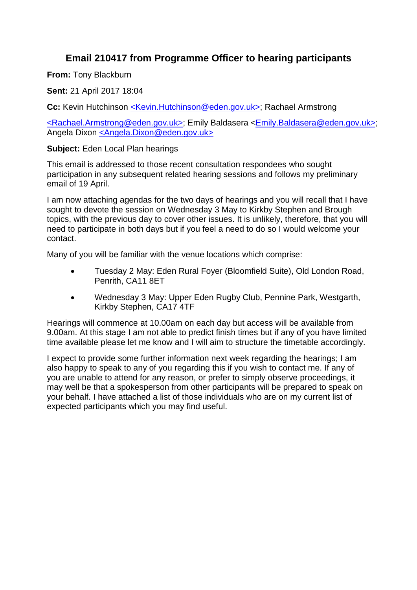## **Email 210417 from Programme Officer to hearing participants**

**From:** Tony Blackburn

**Sent:** 21 April 2017 18:04

**Cc:** Kevin Hutchinson [<K](mailto:Kevin.Hutchinson@eden.gov.uk)[evin.Hutchinson@eden.gov.uk>;](mailto:evin.Hutchinson@eden.gov.uk%3E) Rachael Armstrong

[<Rachael.Ar](mailto:Rachael.Armstrong@eden.gov.uk)[mstrong@eden.gov.uk>;](mailto:mstrong@eden.gov.uk%3E) Emily Baldasera [<Emily.Baldasera@eden.gov.uk>;](mailto:Emily.Baldasera@eden.gov.uk) Angela Dixon [<An](mailto:Angela.Dixon@eden.gov.uk)[gela.Dixon@eden.gov.uk>](mailto:gela.Dixon@eden.gov.uk%3E)

**Subject:** Eden Local Plan hearings

This email is addressed to those recent consultation respondees who sought participation in any subsequent related hearing sessions and follows my preliminary email of 19 April.

I am now attaching agendas for the two days of hearings and you will recall that I have sought to devote the session on Wednesday 3 May to Kirkby Stephen and Brough topics, with the previous day to cover other issues. It is unlikely, therefore, that you will need to participate in both days but if you feel a need to do so I would welcome your contact.

Many of you will be familiar with the venue locations which comprise:

- Tuesday 2 May: Eden Rural Foyer (Bloomfield Suite), Old London Road, Penrith, CA11 8ET
- Wednesday 3 May: Upper Eden Rugby Club, Pennine Park, Westgarth, Kirkby Stephen, CA17 4TF

Hearings will commence at 10.00am on each day but access will be available from 9.00am. At this stage I am not able to predict finish times but if any of you have limited time available please let me know and I will aim to structure the timetable accordingly.

I expect to provide some further information next week regarding the hearings; I am also happy to speak to any of you regarding this if you wish to contact me. If any of you are unable to attend for any reason, or prefer to simply observe proceedings, it may well be that a spokesperson from other participants will be prepared to speak on your behalf. I have attached a list of those individuals who are on my current list of expected participants which you may find useful.